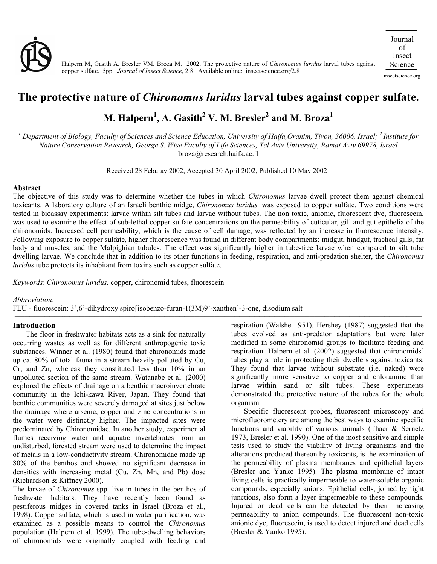

insectscience.org

## **The protective nature of** *Chironomus luridus* **larval tubes against copper sulfate.**

# $\mathbf{M}.$  Halpern $^{1}\!,$  A. Gasith $^{2}\,$  V. M. Bresler $^{2}$  and M. Broza $^{1}\,$

<sup>1</sup> Department of Biology, Faculty of Sciences and Science Education, University of Haifa,Oranim, Tivon, 36006, Israel; <sup>2</sup> Institute for *Nature Conservation Research, George S. Wise Faculty of Life Sciences, Tel Aviv University, Ramat Aviv 69978, Israel*  broza@research.haifa.ac.il

Received 28 Feburay 2002, Accepted 30 April 2002, Published 10 May 2002

#### **Abstract**

The objective of this study was to determine whether the tubes in which *Chironomus* larvae dwell protect them against chemical toxicants. A laboratory culture of an Israeli benthic midge, *Chironomus luridus,* was exposed to copper sulfate. Two conditions were tested in bioassay experiments: larvae within silt tubes and larvae without tubes. The non toxic, anionic, fluorescent dye, fluorescein, was used to examine the effect of sub-lethal copper sulfate concentrations on the permeability of cuticular, gill and gut epithelia of the chironomids. Increased cell permeability, which is the cause of cell damage, was reflected by an increase in fluorescence intensity. Following exposure to copper sulfate, higher fluorescence was found in different body compartments: midgut, hindgut, tracheal gills, fat body and muscles, and the Malpighian tubules. The effect was significantly higher in tube-free larvae when compared to silt tube dwelling larvae. We conclude that in addition to its other functions in feeding, respiration, and anti-predation shelter, the *Chironomus luridus* tube protects its inhabitant from toxins such as copper sulfate.

*Keywords*: *Chironomus luridus,* copper, chironomid tubes, fluorescein

#### *Abbreviation*:

FLU - fluorescein: 3',6'-dihydroxy spiro[isobenzo-furan-1(3M)9'-xanthen]-3-one, disodium salt \_\_\_\_\_\_\_\_\_\_\_\_\_\_\_\_\_\_\_\_\_\_\_\_\_\_\_\_\_\_\_\_\_\_\_\_\_\_\_\_\_\_\_\_\_\_\_\_\_\_\_\_\_\_\_\_\_\_\_\_\_\_\_\_\_\_\_\_\_\_\_\_\_\_\_\_\_\_\_\_\_\_\_\_\_\_\_\_\_\_\_\_\_\_\_\_\_\_\_\_\_\_\_\_\_\_\_\_\_\_\_\_\_\_\_\_\_\_\_\_\_\_\_\_\_\_\_\_\_\_\_\_\_\_\_\_\_\_\_\_\_\_\_\_\_\_\_\_\_\_\_\_\_\_\_\_\_\_\_\_\_\_\_

#### **Introduction**

The floor in freshwater habitats acts as a sink for naturally occurring wastes as well as for different anthropogenic toxic substances. Winner et al. (1980) found that chironomids made up ca. 80% of total fauna in a stream heavily polluted by Cu, Cr, and Zn, whereas they constituted less than 10% in an unpolluted section of the same stream. Watanabe et al. (2000) explored the effects of drainage on a benthic macroinvertebrate community in the Ichi-kawa River, Japan. They found that benthic communities were severely damaged at sites just below the drainage where arsenic, copper and zinc concentrations in the water were distinctly higher. The impacted sites were predominated by Chironomidae. In another study, experimental flumes receiving water and aquatic invertebrates from an undisturbed, forested stream were used to determine the impact of metals in a low-conductivity stream. Chironomidae made up 80% of the benthos and showed no significant decrease in densities with increasing metal (Cu, Zn, Mn, and Pb) dose (Richardson & Kiffney 2000).

The larvae of *Chironomus* spp. live in tubes in the benthos of freshwater habitats. They have recently been found as pestiferous midges in covered tanks in Israel (Broza et al., 1998). Copper sulfate, which is used in water purification, was examined as a possible means to control the *Chironomus* population (Halpern et al. 1999). The tube-dwelling behaviors of chironomids were originally coupled with feeding and

respiration (Walshe 1951). Hershey (1987) suggested that the tubes evolved as anti-predator adaptations but were later modified in some chironomid groups to facilitate feeding and respiration. Halpern et al. (2002) suggested that chironomids' tubes play a role in protecting their dwellers against toxicants. They found that larvae without substrate (i.e. naked) were significantly more sensitive to copper and chloramine than larvae within sand or silt tubes. These experiments demonstrated the protective nature of the tubes for the whole organism.

Specific fluorescent probes, fluorescent microscopy and microfluorometery are among the best ways to examine specific functions and viability of various animals (Thaer & Sernetz 1973, Bresler et al. 1990). One of the most sensitive and simple tests used to study the viability of living organisms and the alterations produced thereon by toxicants, is the examination of the permeability of plasma membranes and epithelial layers (Bresler and Yanko 1995). The plasma membrane of intact living cells is practically impermeable to water-soluble organic compounds, especially anions. Epithelial cells, joined by tight junctions, also form a layer impermeable to these compounds. Injured or dead cells can be detected by their increasing permeability to anion compounds. The fluorescent non-toxic anionic dye, fluorescein, is used to detect injured and dead cells (Bresler & Yanko 1995).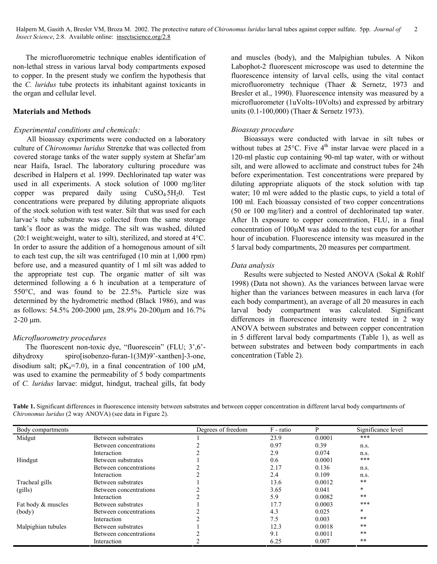The microfluorometric technique enables identification of non-lethal stress in various larval body compartments exposed to copper. In the present study we confirm the hypothesis that the *C. luridus* tube protects its inhabitant against toxicants in the organ and cellular level.

### **Materials and Methods**

### *Experimental conditions and chemicals:*

All bioassay experiments were conducted on a laboratory culture of *Chironomus luridus* Strenzke that was collected from covered storage tanks of the water supply system at Shefar'am near Haifa, Israel. The laboratory culturing procedure was described in Halpern et al. 1999. Dechlorinated tap water was used in all experiments. A stock solution of 1000 mg/liter copper was prepared daily using  $CuSO<sub>4</sub>5H<sub>2</sub>0$ . Test concentrations were prepared by diluting appropriate aliquots of the stock solution with test water. Silt that was used for each larvae's tube substrate was collected from the same storage tank's floor as was the midge. The silt was washed, diluted (20:1 weight:weight, water to silt), sterilized, and stored at 4°C. In order to assure the addition of a homogenous amount of silt to each test cup, the silt was centrifuged (10 min at 1,000 rpm) before use, and a measured quantity of 1 ml silt was added to the appropriate test cup. The organic matter of silt was determined following a 6 h incubation at a temperature of 550°C, and was found to be 22.5%. Particle size was determined by the hydrometric method (Black 1986), and was as follows: 54.5% 200-2000 µm, 28.9% 20-200µm and 16.7%  $2-20 \mu m$ .

#### *Microfluorometry procedures*

The fluorescent non-toxic dye, "fluorescein" (FLU; 3',6' dihydroxy spiro[isobenzo-furan-1(3M)9'-xanthen]-3-one, disodium salt;  $pK_a = 7.0$ , in a final concentration of 100  $\mu$ M, was used to examine the permeability of 5 body compartments of *C. luridus* larvae: midgut, hindgut, tracheal gills, fat body

and muscles (body), and the Malpighian tubules. A Nikon Labophot-2 fluorescent microscope was used to determine the fluorescence intensity of larval cells, using the vital contact microfluorometry technique (Thaer & Sernetz, 1973 and Bresler et al., 1990). Fluorescence intensity was measured by a microfluorometer (1uVolts-10Volts) and expressed by arbitrary units (0.1-100,000) (Thaer & Sernetz 1973).

#### *Bioassay procedure*

Bioassays were conducted with larvae in silt tubes or without tubes at  $25^{\circ}$ C. Five  $4^{\text{th}}$  instar larvae were placed in a 120-ml plastic cup containing 90-ml tap water, with or without silt, and were allowed to acclimate and construct tubes for 24h before experimentation. Test concentrations were prepared by diluting appropriate aliquots of the stock solution with tap water; 10 ml were added to the plastic cups, to yield a total of 100 ml. Each bioassay consisted of two copper concentrations (50 or 100 mg/liter) and a control of dechlorinated tap water. After 1h exposure to copper concentration, FLU, in a final concentration of 100µM was added to the test cups for another hour of incubation. Fluorescence intensity was measured in the 5 larval body compartments, 20 measures per compartment.

#### *Data analysis*

Results were subjected to Nested ANOVA (Sokal & Rohlf 1998) (Data not shown). As the variances between larvae were higher than the variances between measures in each larva (for each body compartment), an average of all 20 measures in each larval body compartment was calculated. Significant differences in fluorescence intensity were tested in 2 way ANOVA between substrates and between copper concentration in 5 different larval body compartments (Table 1), as well as between substrates and between body compartments in each concentration (Table 2).

**Table 1.** Significant differences in fluorescence intensity between substrates and between copper concentration in different larval body compartments of *Chironomus luridus* (2 way ANOVA) (see data in Figure 2).

| Body compartments  |                        | Degrees of freedom | F - ratio | D      | Significance level |
|--------------------|------------------------|--------------------|-----------|--------|--------------------|
| Midgut             | Between substrates     |                    | 23.9      | 0.0001 | ***                |
|                    | Between concentrations |                    | 0.97      | 0.39   | n.s.               |
|                    | Interaction            |                    | 2.9       | 0.074  | n.s.               |
| Hindgut            | Between substrates     |                    | 0.6       | 0.0001 | $***$              |
|                    | Between concentrations |                    | 2.17      | 0.136  | n.s.               |
|                    | Interaction            |                    | 2.4       | 0.109  | n.s.               |
| Tracheal gills     | Between substrates     |                    | 13.6      | 0.0012 | $\star\star$       |
| (gills)            | Between concentrations |                    | 3.65      | 0.041  | $\ast$             |
|                    | Interaction            |                    | 5.9       | 0.0082 | $***$              |
| Fat body & muscles | Between substrates     |                    | 17.7      | 0.0003 | ***                |
| (body)             | Between concentrations |                    | 4.3       | 0.025  | $\ast$             |
|                    | Interaction            |                    | 7.5       | 0.003  | $***$              |
| Malpighian tubules | Between substrates     |                    | 12.3      | 0.0018 | $***$              |
|                    | Between concentrations |                    | 9.1       | 0.0011 | $\star\star$       |
|                    | Interaction            |                    | 6.25      | 0.007  | $***$              |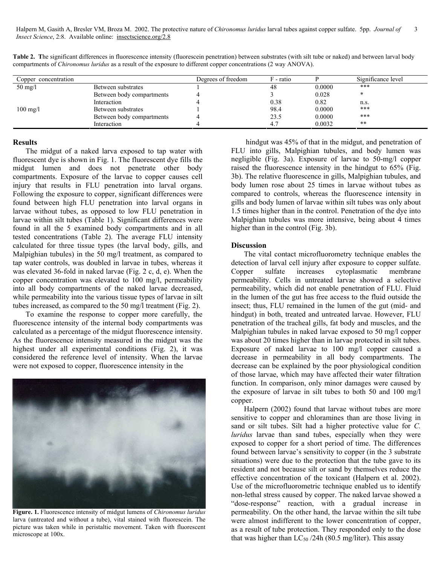Halpern M, Gasith A, Bresler VM, Broza M. 2002. The protective nature of *Chironomus luridus* larval tubes against copper sulfate. 5pp. *Journal of Insect Science*, 2:8. Available online: insectscience.org/2.8 3

| Copper concentration |                           | Degrees of freedom | F - ratio |        | Significance level |
|----------------------|---------------------------|--------------------|-----------|--------|--------------------|
| $50 \text{ mg}/1$    | Between substrates        |                    | 48        | 0.0000 | $***$              |
|                      | Between body compartments |                    |           | 0.028  |                    |
|                      | Interaction               |                    | 0.38      | 0.82   | n.s.               |
| $100 \text{ mg/l}$   | Between substrates        |                    | 98.4      | 0.0000 | $***$              |
|                      | Between body compartments |                    | 23.5      | 0.0000 | ***                |
|                      | Interaction               |                    |           | 0.0032 | $**$               |

Table 2. The significant differences in fluorescence intensity (fluorescein penetration) between substrates (with silt tube or naked) and between larval body compartments of *Chironomus luridus* as a result of the exposure to different copper concentrations (2 way ANOVA).

#### **Results**

The midgut of a naked larva exposed to tap water with fluorescent dye is shown in Fig. 1. The fluorescent dye fills the midgut lumen and does not penetrate other body compartments. Exposure of the larvae to copper causes cell injury that results in FLU penetration into larval organs. Following the exposure to copper, significant differences were found between high FLU penetration into larval organs in larvae without tubes, as opposed to low FLU penetration in larvae within silt tubes (Table 1). Significant differences were found in all the 5 examined body compartments and in all tested concentrations (Table 2). The average FLU intensity calculated for three tissue types (the larval body, gills, and Malpighian tubules) in the 50 mg/l treatment, as compared to tap water controls, was doubled in larvae in tubes, whereas it was elevated 36-fold in naked larvae (Fig. 2 c, d, e). When the copper concentration was elevated to 100 mg/l, permeability into all body compartments of the naked larvae decreased, while permeability into the various tissue types of larvae in silt tubes increased, as compared to the 50 mg/l treatment (Fig. 2).

To examine the response to copper more carefully, the fluorescence intensity of the internal body compartments was calculated as a percentage of the midgut fluorescence intensity. As the fluorescence intensity measured in the midgut was the highest under all experimental conditions (Fig. 2), it was considered the reference level of intensity. When the larvae were not exposed to copper, fluorescence intensity in the



**Figure. 1.** Fluorescence intensity of midgut lumens of *Chironomus luridus* larva (untreated and without a tube), vital stained with fluorescein. The picture was taken while in peristaltic movement. Taken with fluorescent microscope at 100x.

 hindgut was 45% of that in the midgut, and penetration of FLU into gills, Malpighian tubules, and body lumen was negligible (Fig. 3a). Exposure of larvae to 50-mg/l copper raised the fluorescence intensity in the hindgut to 65% (Fig. 3b). The relative fluorescence in gills, Malpighian tubules, and body lumen rose about 25 times in larvae without tubes as compared to controls, whereas the fluorescence intensity in gills and body lumen of larvae within silt tubes was only about 1.5 times higher than in the control. Penetration of the dye into Malpighian tubules was more intensive, being about 4 times higher than in the control (Fig. 3b).

#### **Discussion**

The vital contact microfluorometry technique enables the detection of larval cell injury after exposure to copper sulfate. Copper sulfate increases cytoplasmatic membrane permeability. Cells in untreated larvae showed a selective permeability, which did not enable penetration of FLU. Fluid in the lumen of the gut has free access to the fluid outside the insect; thus, FLU remained in the lumen of the gut (mid- and hindgut) in both, treated and untreated larvae. However, FLU penetration of the tracheal gills, fat body and muscles, and the Malpighian tubules in naked larvae exposed to 50 mg/l copper was about 20 times higher than in larvae protected in silt tubes. Exposure of naked larvae to 100 mg/l copper caused a decrease in permeability in all body compartments. The decrease can be explained by the poor physiological condition of those larvae, which may have affected their water filtration function. In comparison, only minor damages were caused by the exposure of larvae in silt tubes to both 50 and 100 mg/l copper.

Halpern (2002) found that larvae without tubes are more sensitive to copper and chloramines than are those living in sand or silt tubes. Silt had a higher protective value for *C. luridus* larvae than sand tubes, especially when they were exposed to copper for a short period of time. The differences found between larvae's sensitivity to copper (in the 3 substrate situations) were due to the protection that the tube gave to its resident and not because silt or sand by themselves reduce the effective concentration of the toxicant (Halpern et al. 2002). Use of the microfluorometric technique enabled us to identify non-lethal stress caused by copper. The naked larvae showed a "dose-response" reaction, with a gradual increase in permeability. On the other hand, the larvae within the silt tube were almost indifferent to the lower concentration of copper, as a result of tube protection. They responded only to the dose that was higher than  $LC_{50}$  /24h (80.5 mg/liter). This assay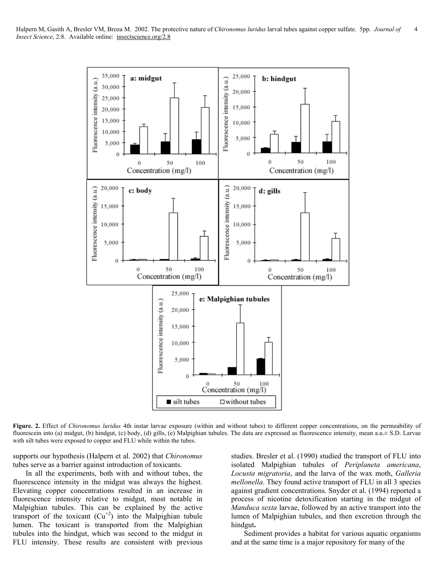

**Figure. 2.** Effect of *Chironomus luridus* 4th instar larvae exposure (within and without tubes) to different copper concentrations, on the permeability of fluorescein into (a) midgut, (b) hindgut, (c) body, (d) gills, (e) Malpighian tubules. The data are expressed as fluorescence intensity, mean a.u. $\pm$  S.D. Larvae with silt tubes were exposed to copper and FLU while within the tubes.

supports our hypothesis (Halpern et al. 2002) that *Chironomus* tubes serve as a barrier against introduction of toxicants.

In all the experiments, both with and without tubes, the fluorescence intensity in the midgut was always the highest. Elevating copper concentrations resulted in an increase in fluorescence intensity relative to midgut, most notable in Malpighian tubules. This can be explained by the active transport of the toxicant  $(Cu^{2})$  into the Malpighian tubule lumen. The toxicant is transported from the Malpighian tubules into the hindgut, which was second to the midgut in FLU intensity. These results are consistent with previous studies. Bresler et al. (1990) studied the transport of FLU into isolated Malpighian tubules of *Periplaneta americana*, *Locusta migratoria*, and the larva of the wax moth, *Galleria mellonella*. They found active transport of FLU in all 3 species against gradient concentrations. Snyder et al. (1994) reported a process of nicotine detoxification starting in the midgut of *Manduca sexta* larvae, followed by an active transport into the lumen of Malpighian tubules, and then excretion through the hindgut**.**

Sediment provides a habitat for various aquatic organisms and at the same time is a major repository for many of the